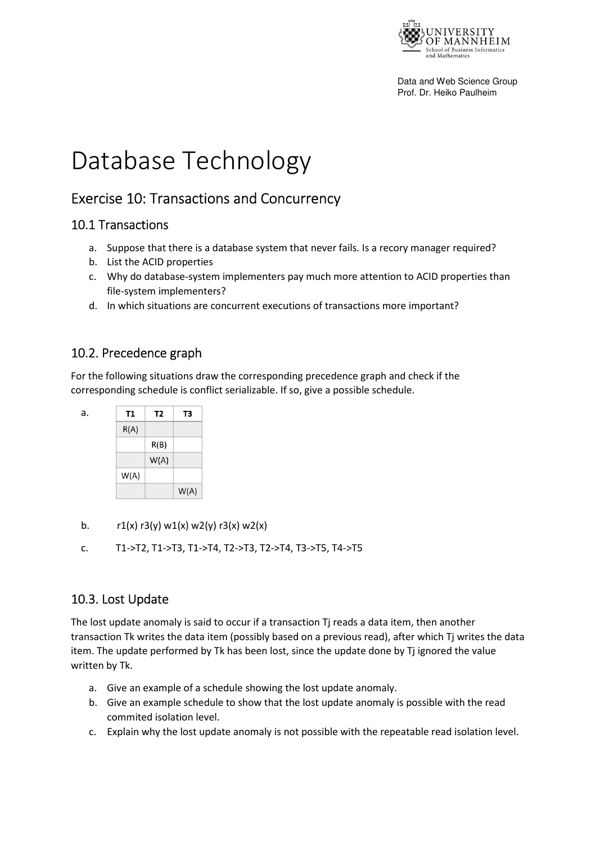

Data and Web Science Group Prof. Dr. Heiko Paulheim

# Database Technology

## Exercise 10: Transactions and Concurrency

#### 10.1 Transactions

- a. Suppose that there is a database system that never fails. Is a recory manager required?
- b. List the ACID properties
- c. Why do database-system implementers pay much more attention to ACID properties than file-system implementers?
- d. In which situations are concurrent executions of transactions more important?

### 10.2. Precedence graph

For the following situations draw the corresponding precedence graph and check if the corresponding schedule is conflict serializable. If so, give a possible schedule.



- b.  $r1(x)$  r3(y) w1(x) w2(y) r3(x) w2(x)
- c. T1->T2, T1->T3, T1->T4, T2->T3, T2->T4, T3->T5, T4->T5

#### 10.3. Lost Update

The lost update anomaly is said to occur if a transaction Tj reads a data item, then another transaction Tk writes the data item (possibly based on a previous read), after which Tj writes the data item. The update performed by Tk has been lost, since the update done by Tj ignored the value written by Tk.

- a. Give an example of a schedule showing the lost update anomaly.
- b. Give an example schedule to show that the lost update anomaly is possible with the read commited isolation level.
- c. Explain why the lost update anomaly is not possible with the repeatable read isolation level.